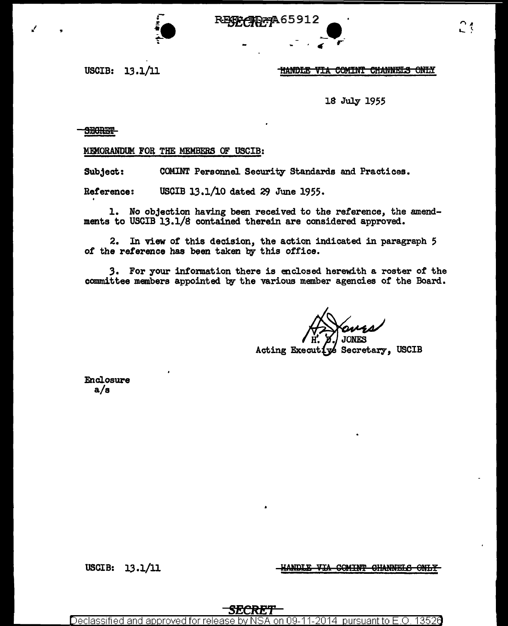æ 465912

USCIB: 13.1/11

## **HANDLE VIA COMINT CHANNELS ONLY**

្ម វ

18 July 1955

**THURKES** 

MEMORANDUM FOR THE MEMBERS OF USCIB:

Subject: COMINT Personnel Security Standards and Practices.

USCIB 13.1/10 dated 29 June 1955. Reference:

1. No objection having been received to the reference, the amendments to USCIB 13.1/8 contained therein are considered approved.

2. In view of this decision, the action indicated in paragraph 5 of the reference has been taken by this office.

3. For your information there is enclosed herewith a roster of the committee members appointed by the various member agencies of the Board.

Acting Executive Secretary, USCIB

Enclosure  $a/s$ 

> VIA COMINT CHANNELS ONLY **ANDLE**

USCIB: 13.1/11

2014 pursuant to E Declassified and approved for